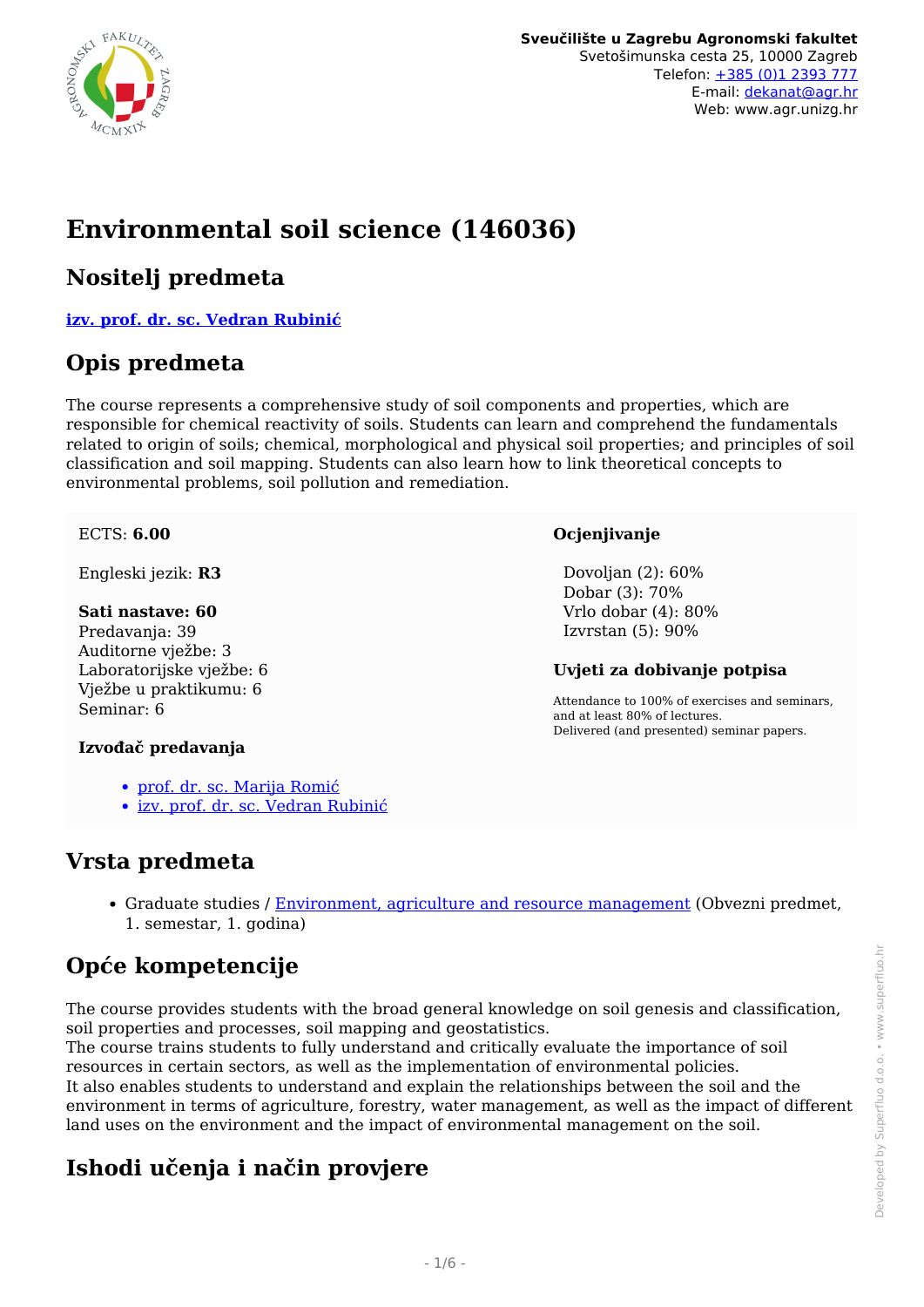

# **Environmental soil science (146036)**

## **Nositelj predmeta**

**[izv. prof. dr. sc. Vedran Rubinić](/hr/member/166)**

## **Opis predmeta**

The course represents a comprehensive study of soil components and properties, which are responsible for chemical reactivity of soils. Students can learn and comprehend the fundamentals related to origin of soils; chemical, morphological and physical soil properties; and principles of soil classification and soil mapping. Students can also learn how to link theoretical concepts to environmental problems, soil pollution and remediation.

#### ECTS: **6.00**

Engleski jezik: **R3**

#### **Sati nastave: 60**

Predavanja: 39 Auditorne vježbe: 3 Laboratorijske vježbe: 6 Vježbe u praktikumu: 6 Seminar: 6

#### **Ocjenjivanje**

 Dovoljan (2): 60% Dobar (3): 70% Vrlo dobar (4): 80% Izvrstan (5): 90%

#### **Uvjeti za dobivanje potpisa**

Attendance to 100% of exercises and seminars, and at least 80% of lectures. Delivered (and presented) seminar papers.

#### **Izvođač predavanja**

- [prof. dr. sc. Marija Romić](/hr/member/85)
- [izv. prof. dr. sc. Vedran Rubinić](/hr/member/166)

## **Vrsta predmeta**

Graduate studies / [Environment, agriculture and resource management](/hr/study/en/3/Environment%2C+agriculture+and+resource+management) (Obvezni predmet, 1. semestar, 1. godina)

## **Opće kompetencije**

The course provides students with the broad general knowledge on soil genesis and classification, soil properties and processes, soil mapping and geostatistics.

The course trains students to fully understand and critically evaluate the importance of soil resources in certain sectors, as well as the implementation of environmental policies. It also enables students to understand and explain the relationships between the soil and the environment in terms of agriculture, forestry, water management, as well as the impact of different land uses on the environment and the impact of environmental management on the soil.

## **Ishodi učenja i način provjere**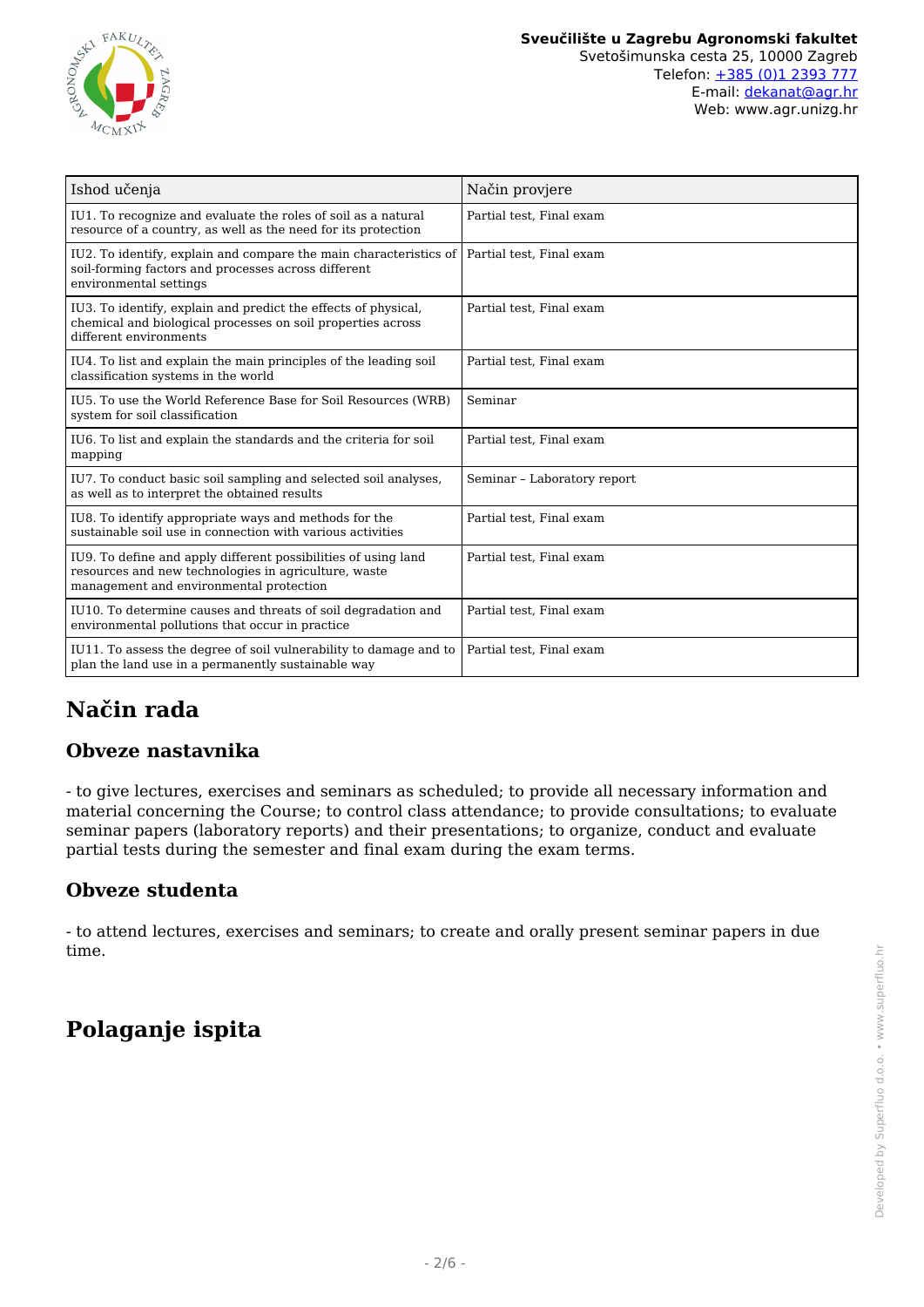

| Ishod učenja                                                                                                                                                      | Način provjere              |
|-------------------------------------------------------------------------------------------------------------------------------------------------------------------|-----------------------------|
| IU1. To recognize and evaluate the roles of soil as a natural<br>resource of a country, as well as the need for its protection                                    | Partial test, Final exam    |
| IU2. To identify, explain and compare the main characteristics of<br>soil-forming factors and processes across different<br>environmental settings                | Partial test. Final exam    |
| IU3. To identify, explain and predict the effects of physical,<br>chemical and biological processes on soil properties across<br>different environments           | Partial test, Final exam    |
| IU4. To list and explain the main principles of the leading soil<br>classification systems in the world                                                           | Partial test, Final exam    |
| IU5. To use the World Reference Base for Soil Resources (WRB)<br>system for soil classification                                                                   | Seminar                     |
| IU6. To list and explain the standards and the criteria for soil<br>mapping                                                                                       | Partial test, Final exam    |
| IU7. To conduct basic soil sampling and selected soil analyses,<br>as well as to interpret the obtained results                                                   | Seminar - Laboratory report |
| IU8. To identify appropriate ways and methods for the<br>sustainable soil use in connection with various activities                                               | Partial test, Final exam    |
| IU9. To define and apply different possibilities of using land<br>resources and new technologies in agriculture, waste<br>management and environmental protection | Partial test, Final exam    |
| IU10. To determine causes and threats of soil degradation and<br>environmental pollutions that occur in practice                                                  | Partial test, Final exam    |
| IU11. To assess the degree of soil vulnerability to damage and to<br>plan the land use in a permanently sustainable way                                           | Partial test, Final exam    |

## **Način rada**

### **Obveze nastavnika**

- to give lectures, exercises and seminars as scheduled; to provide all necessary information and material concerning the Course; to control class attendance; to provide consultations; to evaluate seminar papers (laboratory reports) and their presentations; to organize, conduct and evaluate partial tests during the semester and final exam during the exam terms.

### **Obveze studenta**

- to attend lectures, exercises and seminars; to create and orally present seminar papers in due time.

## **Polaganje ispita**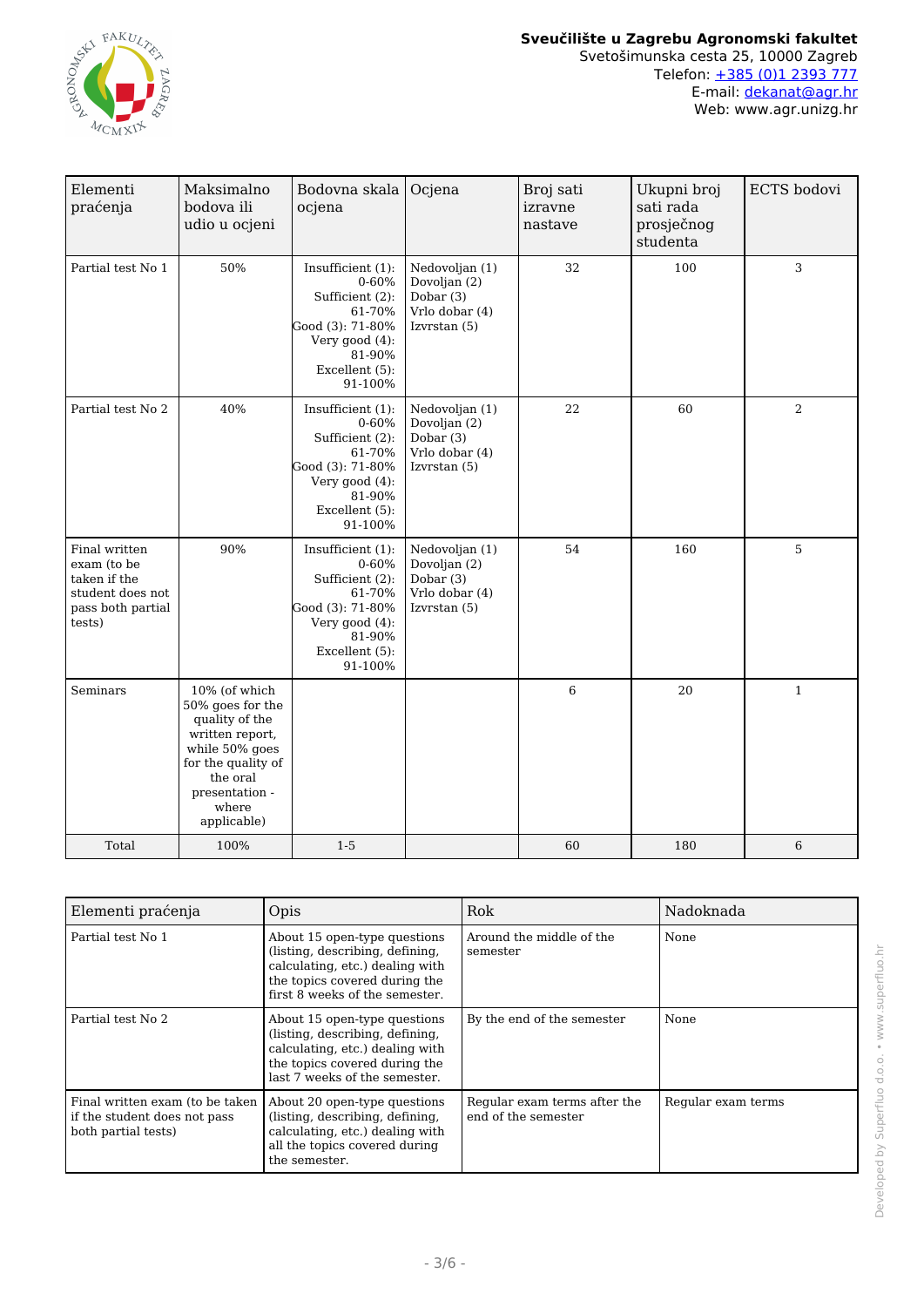

| Elementi<br>praćenja                                                                            | Maksimalno<br>bodova ili<br>udio u ocjeni                                                                                                                            | Bodovna skala<br>ocjena                                                                                                                  | Ocjena                                                                        | Broj sati<br>izravne<br>nastave | Ukupni broj<br>sati rada<br>prosječnog<br>studenta | ECTS bodovi    |
|-------------------------------------------------------------------------------------------------|----------------------------------------------------------------------------------------------------------------------------------------------------------------------|------------------------------------------------------------------------------------------------------------------------------------------|-------------------------------------------------------------------------------|---------------------------------|----------------------------------------------------|----------------|
| Partial test No 1                                                                               | 50%                                                                                                                                                                  | Insufficient (1):<br>$0 - 60%$<br>Sufficient (2):<br>61-70%<br>Good (3): 71-80%<br>Very good (4):<br>81-90%<br>Excellent (5):<br>91-100% | Nedovoljan (1)<br>Dovoljan (2)<br>Dobar (3)<br>Vrlo dobar (4)<br>Izvrstan (5) | 32                              | 100                                                | 3              |
| Partial test No 2                                                                               | 40%                                                                                                                                                                  | Insufficient (1):<br>0-60%<br>Sufficient (2):<br>61-70%<br>Good (3): 71-80%<br>Very good (4):<br>81-90%<br>Excellent (5):<br>91-100%     | Nedovoljan (1)<br>Dovoljan (2)<br>Dobar (3)<br>Vrlo dobar (4)<br>Izvrstan (5) | 22                              | 60                                                 | $\overline{2}$ |
| Final written<br>exam (to be<br>taken if the<br>student does not<br>pass both partial<br>tests) | 90%                                                                                                                                                                  | Insufficient (1):<br>$0 - 60%$<br>Sufficient (2):<br>61-70%<br>Good (3): 71-80%<br>Very good (4):<br>81-90%<br>Excellent (5):<br>91-100% | Nedovoljan (1)<br>Dovoljan (2)<br>Dobar (3)<br>Vrlo dobar (4)<br>Izvrstan (5) | 54                              | 160                                                | 5              |
| Seminars                                                                                        | 10% (of which<br>50% goes for the<br>quality of the<br>written report,<br>while 50% goes<br>for the quality of<br>the oral<br>presentation -<br>where<br>applicable) |                                                                                                                                          |                                                                               | 6                               | 20                                                 | $\mathbf 1$    |
| Total                                                                                           | 100%                                                                                                                                                                 | $1-5$                                                                                                                                    |                                                                               | 60                              | 180                                                | 6              |

| Elementi praćenja                                                                      | Opis                                                                                                                                                                  | Rok                                                 | Nadoknada          |
|----------------------------------------------------------------------------------------|-----------------------------------------------------------------------------------------------------------------------------------------------------------------------|-----------------------------------------------------|--------------------|
| Partial test No 1                                                                      | About 15 open-type questions<br>(listing, describing, defining,<br>calculating, etc.) dealing with<br>the topics covered during the<br>first 8 weeks of the semester. | Around the middle of the<br>semester                | None               |
| Partial test No 2                                                                      | About 15 open-type questions<br>(listing, describing, defining,<br>calculating, etc.) dealing with<br>the topics covered during the<br>last 7 weeks of the semester.  | By the end of the semester                          | None               |
| Final written exam (to be taken<br>if the student does not pass<br>both partial tests) | About 20 open-type questions<br>(listing, describing, defining,<br>calculating, etc.) dealing with<br>all the topics covered during<br>the semester.                  | Regular exam terms after the<br>end of the semester | Regular exam terms |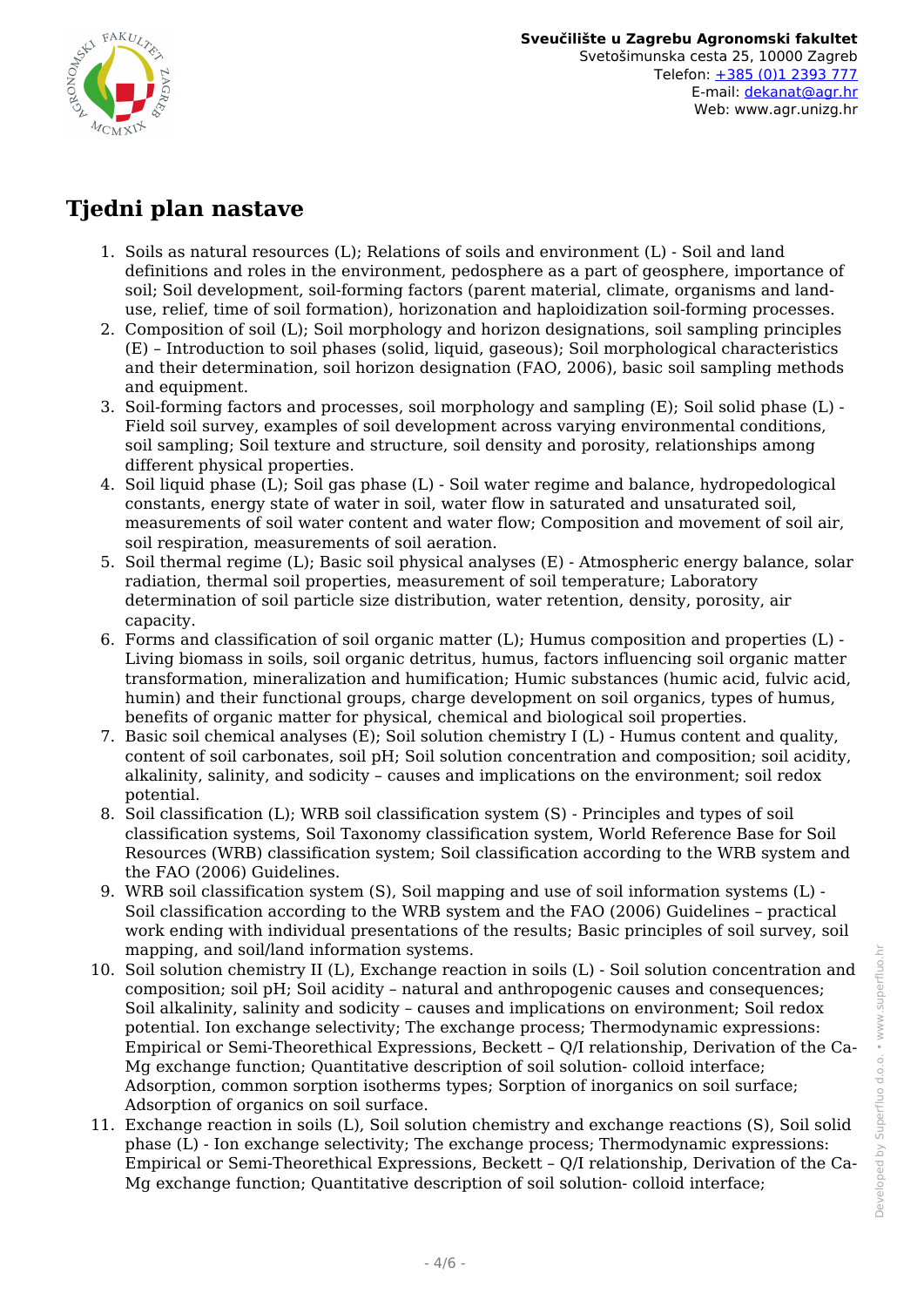

## **Tjedni plan nastave**

- 1. Soils as natural resources (L); Relations of soils and environment (L) Soil and land definitions and roles in the environment, pedosphere as a part of geosphere, importance of soil; Soil development, soil-forming factors (parent material, climate, organisms and landuse, relief, time of soil formation), horizonation and haploidization soil-forming processes.
- 2. Composition of soil (L); Soil morphology and horizon designations, soil sampling principles (E) – Introduction to soil phases (solid, liquid, gaseous); Soil morphological characteristics and their determination, soil horizon designation (FAO, 2006), basic soil sampling methods and equipment.
- 3. Soil-forming factors and processes, soil morphology and sampling (E); Soil solid phase (L) Field soil survey, examples of soil development across varying environmental conditions, soil sampling; Soil texture and structure, soil density and porosity, relationships among different physical properties.
- 4. Soil liquid phase (L); Soil gas phase (L) Soil water regime and balance, hydropedological constants, energy state of water in soil, water flow in saturated and unsaturated soil, measurements of soil water content and water flow; Composition and movement of soil air, soil respiration, measurements of soil aeration.
- 5. Soil thermal regime (L); Basic soil physical analyses (E) Atmospheric energy balance, solar radiation, thermal soil properties, measurement of soil temperature; Laboratory determination of soil particle size distribution, water retention, density, porosity, air capacity.
- 6. Forms and classification of soil organic matter (L); Humus composition and properties (L) Living biomass in soils, soil organic detritus, humus, factors influencing soil organic matter transformation, mineralization and humification; Humic substances (humic acid, fulvic acid, humin) and their functional groups, charge development on soil organics, types of humus, benefits of organic matter for physical, chemical and biological soil properties.
- 7. Basic soil chemical analyses (E); Soil solution chemistry I (L) Humus content and quality, content of soil carbonates, soil pH; Soil solution concentration and composition; soil acidity, alkalinity, salinity, and sodicity – causes and implications on the environment; soil redox potential.
- 8. Soil classification (L); WRB soil classification system (S) Principles and types of soil classification systems, Soil Taxonomy classification system, World Reference Base for Soil Resources (WRB) classification system; Soil classification according to the WRB system and the FAO (2006) Guidelines.
- 9. WRB soil classification system (S), Soil mapping and use of soil information systems (L) Soil classification according to the WRB system and the FAO (2006) Guidelines – practical work ending with individual presentations of the results; Basic principles of soil survey, soil mapping, and soil/land information systems.
- 10. Soil solution chemistry II (L), Exchange reaction in soils (L) Soil solution concentration and composition; soil pH; Soil acidity – natural and anthropogenic causes and consequences; Soil alkalinity, salinity and sodicity – causes and implications on environment; Soil redox potential. Ion exchange selectivity; The exchange process; Thermodynamic expressions: Empirical or Semi-Theorethical Expressions, Beckett – Q/I relationship, Derivation of the Ca-Mg exchange function; Quantitative description of soil solution- colloid interface; Adsorption, common sorption isotherms types; Sorption of inorganics on soil surface; Adsorption of organics on soil surface.
- 11. Exchange reaction in soils (L), Soil solution chemistry and exchange reactions (S), Soil solid phase (L) - Ion exchange selectivity; The exchange process; Thermodynamic expressions: Empirical or Semi-Theorethical Expressions, Beckett – Q/I relationship, Derivation of the Ca-Mg exchange function; Quantitative description of soil solution- colloid interface;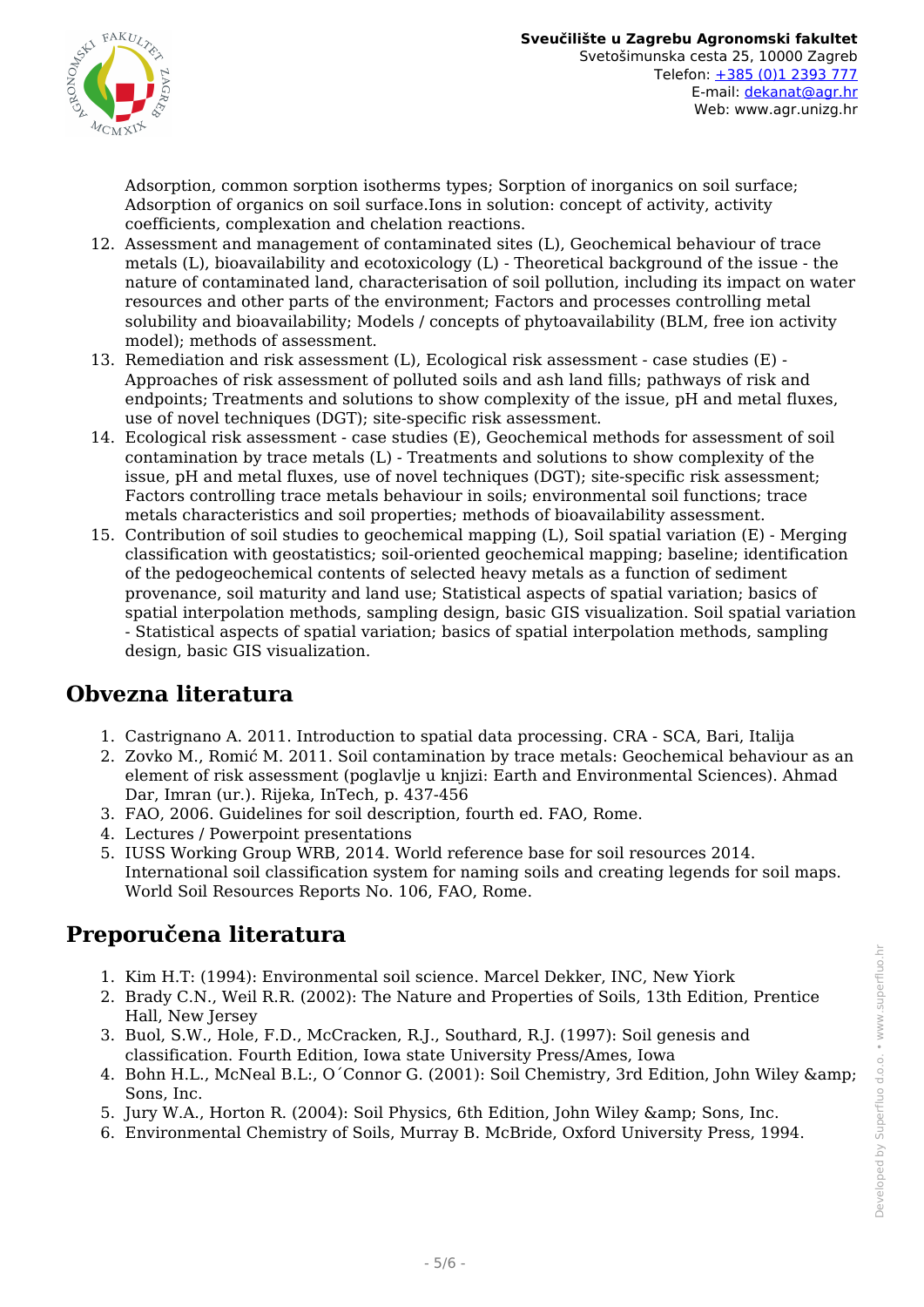

Adsorption, common sorption isotherms types; Sorption of inorganics on soil surface; Adsorption of organics on soil surface.Ions in solution: concept of activity, activity coefficients, complexation and chelation reactions.

- 12. Assessment and management of contaminated sites (L), Geochemical behaviour of trace metals (L), bioavailability and ecotoxicology (L) - Theoretical background of the issue - the nature of contaminated land, characterisation of soil pollution, including its impact on water resources and other parts of the environment; Factors and processes controlling metal solubility and bioavailability; Models / concepts of phytoavailability (BLM, free ion activity model); methods of assessment.
- 13. Remediation and risk assessment (L), Ecological risk assessment case studies (E) Approaches of risk assessment of polluted soils and ash land fills; pathways of risk and endpoints; Treatments and solutions to show complexity of the issue, pH and metal fluxes, use of novel techniques (DGT); site-specific risk assessment.
- 14. Ecological risk assessment case studies (E), Geochemical methods for assessment of soil contamination by trace metals (L) - Treatments and solutions to show complexity of the issue, pH and metal fluxes, use of novel techniques (DGT); site-specific risk assessment; Factors controlling trace metals behaviour in soils; environmental soil functions; trace metals characteristics and soil properties; methods of bioavailability assessment.
- 15. Contribution of soil studies to geochemical mapping (L), Soil spatial variation (E) Merging classification with geostatistics; soil-oriented geochemical mapping; baseline; identification of the pedogeochemical contents of selected heavy metals as a function of sediment provenance, soil maturity and land use; Statistical aspects of spatial variation; basics of spatial interpolation methods, sampling design, basic GIS visualization. Soil spatial variation - Statistical aspects of spatial variation; basics of spatial interpolation methods, sampling design, basic GIS visualization.

## **Obvezna literatura**

- 1. Castrignano A. 2011. Introduction to spatial data processing. CRA SCA, Bari, Italija
- 2. Zovko M., Romić M. 2011. Soil contamination by trace metals: Geochemical behaviour as an element of risk assessment (poglavlje u knjizi: Earth and Environmental Sciences). Ahmad Dar, Imran (ur.). Rijeka, InTech, p. 437-456
- 3. FAO, 2006. Guidelines for soil description, fourth ed. FAO, Rome.
- 4. Lectures / Powerpoint presentations
- 5. IUSS Working Group WRB, 2014. World reference base for soil resources 2014. International soil classification system for naming soils and creating legends for soil maps. World Soil Resources Reports No. 106, FAO, Rome.

## **Preporučena literatura**

- 1. Kim H.T: (1994): Environmental soil science. Marcel Dekker, INC, New Yiork
- 2. Brady C.N., Weil R.R. (2002): The Nature and Properties of Soils, 13th Edition, Prentice Hall, New Jersey
- 3. Buol, S.W., Hole, F.D., McCracken, R.J., Southard, R.J. (1997): Soil genesis and classification. Fourth Edition, Iowa state University Press/Ames, Iowa
- 4. Bohn H.L., McNeal B.L:, O´Connor G. (2001): Soil Chemistry, 3rd Edition, John Wiley & Sons, Inc.
- 5. Jury W.A., Horton R. (2004): Soil Physics, 6th Edition, John Wiley & amp; Sons, Inc.
- 6. Environmental Chemistry of Soils, Murray B. McBride, Oxford University Press, 1994.